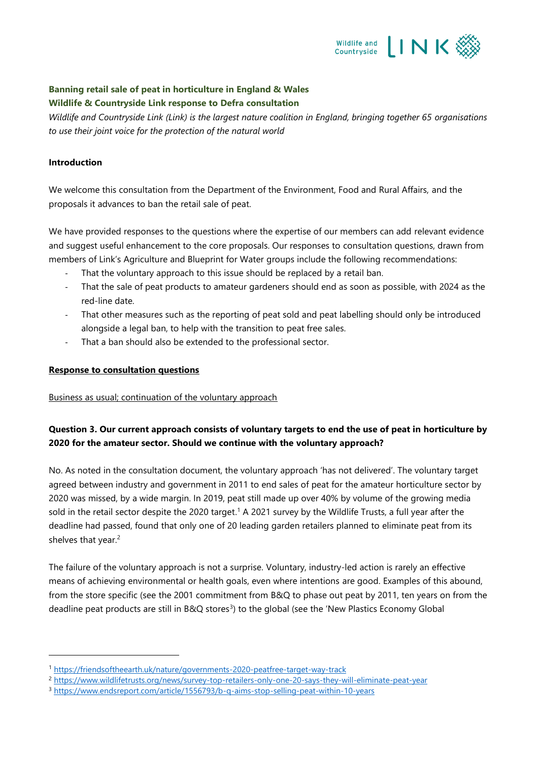

## **Banning retail sale of peat in horticulture in England & Wales Wildlife & Countryside Link response to Defra consultation**

*Wildlife and Countryside Link (Link) is the largest nature coalition in England, bringing together 65 organisations to use their joint voice for the protection of the natural world*

#### **Introduction**

We welcome this consultation from the Department of the Environment, Food and Rural Affairs, and the proposals it advances to ban the retail sale of peat.

We have provided responses to the questions where the expertise of our members can add relevant evidence and suggest useful enhancement to the core proposals. Our responses to consultation questions, drawn from members of Link's Agriculture and Blueprint for Water groups include the following recommendations:

- That the voluntary approach to this issue should be replaced by a retail ban.
- That the sale of peat products to amateur gardeners should end as soon as possible, with 2024 as the red-line date.
- That other measures such as the reporting of peat sold and peat labelling should only be introduced alongside a legal ban, to help with the transition to peat free sales.
- That a ban should also be extended to the professional sector.

#### **Response to consultation questions**

#### Business as usual; continuation of the voluntary approach

## **Question 3. Our current approach consists of voluntary targets to end the use of peat in horticulture by 2020 for the amateur sector. Should we continue with the voluntary approach?**

No. As noted in the consultation document, the voluntary approach 'has not delivered'. The voluntary target agreed between industry and government in 2011 to end sales of peat for the amateur horticulture sector by 2020 was missed, by a wide margin. In 2019, peat still made up over 40% by volume of the growing media sold in the retail sector despite the 2020 target.<sup>1</sup> A 2021 survey by the Wildlife Trusts, a full year after the deadline had passed, found that only one of 20 leading garden retailers planned to eliminate peat from its shelves that year.<sup>2</sup>

The failure of the voluntary approach is not a surprise. Voluntary, industry-led action is rarely an effective means of achieving environmental or health goals, even where intentions are good. Examples of this abound, from the store specific (see the 2001 commitment from B&Q to phase out peat by 2011, ten years on from the deadline peat products are still in B&Q stores<sup>3</sup>) to the global (see the 'New Plastics Economy Global

<sup>1</sup> <https://friendsoftheearth.uk/nature/governments-2020-peatfree-target-way-track>

<sup>2</sup> <https://www.wildlifetrusts.org/news/survey-top-retailers-only-one-20-says-they-will-eliminate-peat-year>

<sup>3</sup> <https://www.endsreport.com/article/1556793/b-q-aims-stop-selling-peat-within-10-years>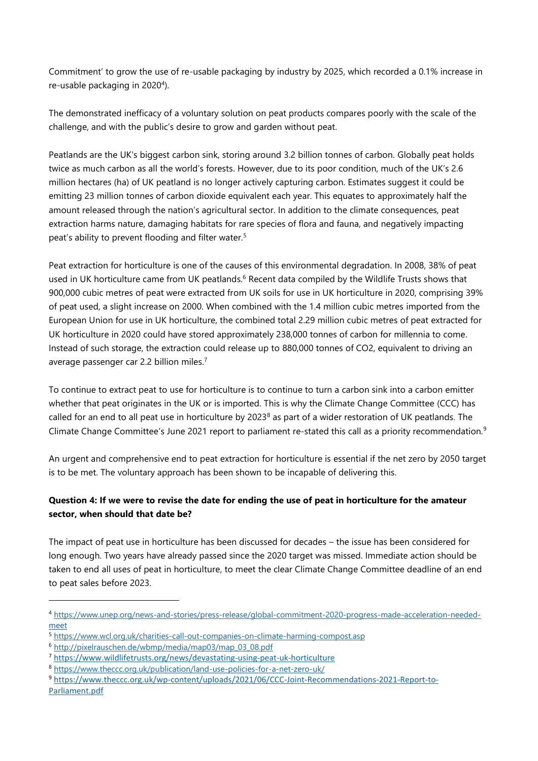Commitment' to grow the use of re-usable packaging by industry by 2025, which recorded a 0.1% increase in re-usable packaging in 2020<sup>4</sup>).

The demonstrated inefficacy of a voluntary solution on peat products compares poorly with the scale of the challenge, and with the public's desire to grow and garden without peat.

Peatlands are the UK's biggest carbon sink, storing around 3.2 billion tonnes of carbon. Globally peat holds twice as much carbon as all the world's forests. However, due to its poor condition, much of the UK's 2.6 million hectares (ha) of UK peatland is no longer actively capturing carbon. Estimates suggest it could be emitting 23 million tonnes of carbon dioxide equivalent each year. This equates to approximately half the amount released through the nation's agricultural sector. In addition to the climate consequences, peat extraction harms nature, damaging habitats for rare species of flora and fauna, and negatively impacting peat's ability to prevent flooding and filter water.<sup>5</sup>

Peat extraction for horticulture is one of the causes of this environmental degradation. In 2008, 38% of peat used in UK horticulture came from UK peatlands. <sup>6</sup> Recent data compiled by the Wildlife Trusts shows that 900,000 cubic metres of peat were extracted from UK soils for use in UK horticulture in 2020, comprising 39% of peat used, a slight increase on 2000. When combined with the 1.4 million cubic metres imported from the European Union for use in UK horticulture, the combined total 2.29 million cubic metres of peat extracted for UK horticulture in 2020 could have stored approximately 238,000 tonnes of carbon for millennia to come. Instead of such storage, the extraction could release up to 880,000 tonnes of CO2, equivalent to driving an average passenger car 2.2 billion miles. 7

To continue to extract peat to use for horticulture is to continue to turn a carbon sink into a carbon emitter whether that peat originates in the UK or is imported. This is why the Climate Change Committee (CCC) has called for an end to all peat use in horticulture by 2023<sup>8</sup> as part of a wider restoration of UK peatlands. The Climate Change Committee's June 2021 report to parliament re-stated this call as a priority recommendation.<sup>9</sup>

An urgent and comprehensive end to peat extraction for horticulture is essential if the net zero by 2050 target is to be met. The voluntary approach has been shown to be incapable of delivering this.

# **Question 4: If we were to revise the date for ending the use of peat in horticulture for the amateur sector, when should that date be?**

The impact of peat use in horticulture has been discussed for decades – the issue has been considered for long enough. Two years have already passed since the 2020 target was missed. Immediate action should be taken to end all uses of peat in horticulture, to meet the clear Climate Change Committee deadline of an end to peat sales before 2023.

<sup>4</sup> [https://www.unep.org/news-and-stories/press-release/global-commitment-2020-progress-made-acceleration-needed](https://www.unep.org/news-and-stories/press-release/global-commitment-2020-progress-made-acceleration-needed-meet)[meet](https://www.unep.org/news-and-stories/press-release/global-commitment-2020-progress-made-acceleration-needed-meet)

<sup>5</sup> <https://www.wcl.org.uk/charities-call-out-companies-on-climate-harming-compost.asp>

<sup>6</sup> [http://pixelrauschen.de/wbmp/media/map03/map\\_03\\_08.pdf](http://pixelrauschen.de/wbmp/media/map03/map_03_08.pdf)

<sup>7</sup> <https://www.wildlifetrusts.org/news/devastating-using-peat-uk-horticulture>

<sup>8</sup> <https://www.theccc.org.uk/publication/land-use-policies-for-a-net-zero-uk/>

<sup>9</sup> [https://www.theccc.org.uk/wp-content/uploads/2021/06/CCC-Joint-Recommendations-2021-Report-to-](https://www.theccc.org.uk/wp-content/uploads/2021/06/CCC-Joint-Recommendations-2021-Report-to-Parliament.pdf)[Parliament.pdf](https://www.theccc.org.uk/wp-content/uploads/2021/06/CCC-Joint-Recommendations-2021-Report-to-Parliament.pdf)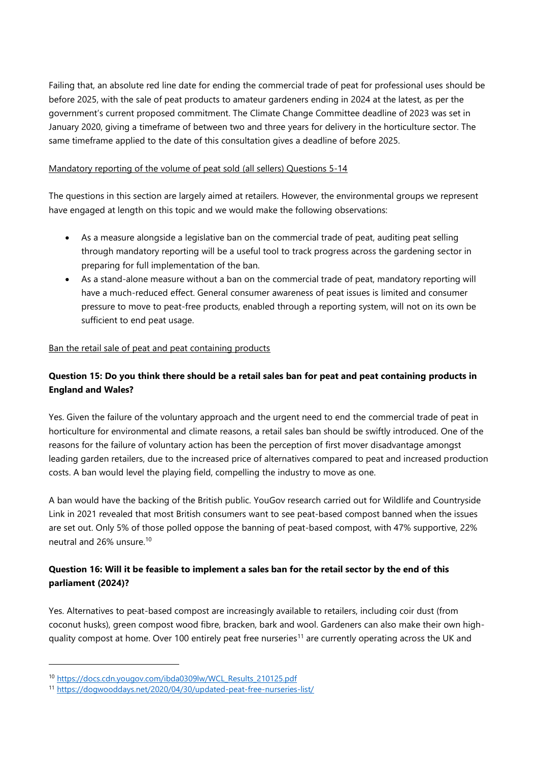Failing that, an absolute red line date for ending the commercial trade of peat for professional uses should be before 2025, with the sale of peat products to amateur gardeners ending in 2024 at the latest, as per the government's current proposed commitment. The Climate Change Committee deadline of 2023 was set in January 2020, giving a timeframe of between two and three years for delivery in the horticulture sector. The same timeframe applied to the date of this consultation gives a deadline of before 2025.

### Mandatory reporting of the volume of peat sold (all sellers) Questions 5-14

The questions in this section are largely aimed at retailers. However, the environmental groups we represent have engaged at length on this topic and we would make the following observations:

- As a measure alongside a legislative ban on the commercial trade of peat, auditing peat selling through mandatory reporting will be a useful tool to track progress across the gardening sector in preparing for full implementation of the ban.
- As a stand-alone measure without a ban on the commercial trade of peat, mandatory reporting will have a much-reduced effect. General consumer awareness of peat issues is limited and consumer pressure to move to peat-free products, enabled through a reporting system, will not on its own be sufficient to end peat usage.

### Ban the retail sale of peat and peat containing products

# **Question 15: Do you think there should be a retail sales ban for peat and peat containing products in England and Wales?**

Yes. Given the failure of the voluntary approach and the urgent need to end the commercial trade of peat in horticulture for environmental and climate reasons, a retail sales ban should be swiftly introduced. One of the reasons for the failure of voluntary action has been the perception of first mover disadvantage amongst leading garden retailers, due to the increased price of alternatives compared to peat and increased production costs. A ban would level the playing field, compelling the industry to move as one.

A ban would have the backing of the British public. YouGov research carried out for Wildlife and Countryside Link in 2021 revealed that most British consumers want to see peat-based compost banned when the issues are set out. Only 5% of those polled oppose the banning of peat-based compost, with 47% supportive, 22% neutral and 26% unsure.<sup>10</sup>

## **Question 16: Will it be feasible to implement a sales ban for the retail sector by the end of this parliament (2024)?**

Yes. Alternatives to peat-based compost are increasingly available to retailers, including coir dust (from coconut husks), green compost wood fibre, bracken, bark and wool. Gardeners can also make their own highquality compost at home. Over 100 entirely peat free nurseries<sup>11</sup> are currently operating across the UK and

<sup>10</sup> [https://docs.cdn.yougov.com/ibda0309lw/WCL\\_Results\\_210125.pdf](https://docs.cdn.yougov.com/ibda0309lw/WCL_Results_210125.pdf)

<sup>11</sup> <https://dogwooddays.net/2020/04/30/updated-peat-free-nurseries-list/>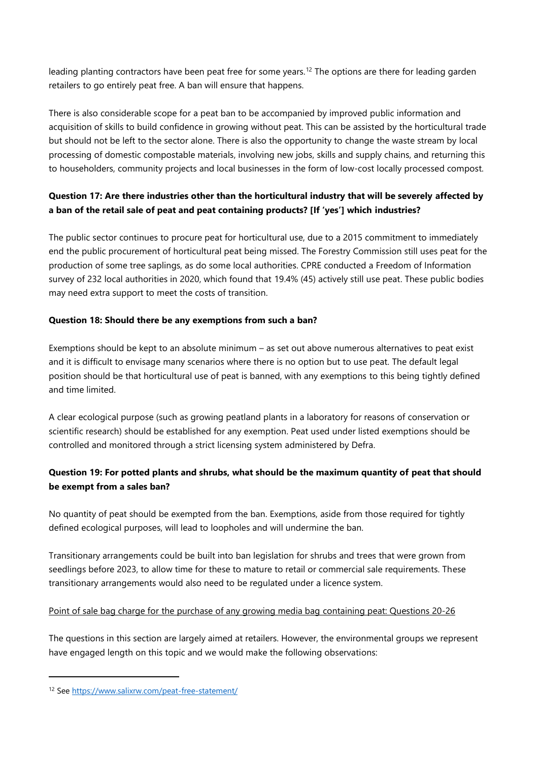leading planting contractors have been peat free for some years.<sup>12</sup> The options are there for leading garden retailers to go entirely peat free. A ban will ensure that happens.

There is also considerable scope for a peat ban to be accompanied by improved public information and acquisition of skills to build confidence in growing without peat. This can be assisted by the horticultural trade but should not be left to the sector alone. There is also the opportunity to change the waste stream by local processing of domestic compostable materials, involving new jobs, skills and supply chains, and returning this to householders, community projects and local businesses in the form of low-cost locally processed compost.

# **Question 17: Are there industries other than the horticultural industry that will be severely affected by a ban of the retail sale of peat and peat containing products? [If 'yes'] which industries?**

The public sector continues to procure peat for horticultural use, due to a 2015 commitment to immediately end the public procurement of horticultural peat being missed. The Forestry Commission still uses peat for the production of some tree saplings, as do some local authorities. CPRE conducted a Freedom of Information survey of 232 local authorities in 2020, which found that 19.4% (45) actively still use peat. These public bodies may need extra support to meet the costs of transition.

## **Question 18: Should there be any exemptions from such a ban?**

Exemptions should be kept to an absolute minimum – as set out above numerous alternatives to peat exist and it is difficult to envisage many scenarios where there is no option but to use peat. The default legal position should be that horticultural use of peat is banned, with any exemptions to this being tightly defined and time limited.

A clear ecological purpose (such as growing peatland plants in a laboratory for reasons of conservation or scientific research) should be established for any exemption. Peat used under listed exemptions should be controlled and monitored through a strict licensing system administered by Defra.

# **Question 19: For potted plants and shrubs, what should be the maximum quantity of peat that should be exempt from a sales ban?**

No quantity of peat should be exempted from the ban. Exemptions, aside from those required for tightly defined ecological purposes, will lead to loopholes and will undermine the ban.

Transitionary arrangements could be built into ban legislation for shrubs and trees that were grown from seedlings before 2023, to allow time for these to mature to retail or commercial sale requirements. These transitionary arrangements would also need to be regulated under a licence system.

### Point of sale bag charge for the purchase of any growing media bag containing peat: Questions 20-26

The questions in this section are largely aimed at retailers. However, the environmental groups we represent have engaged length on this topic and we would make the following observations:

<sup>12</sup> Se[e https://www.salixrw.com/peat-free-statement/](https://www.salixrw.com/peat-free-statement/)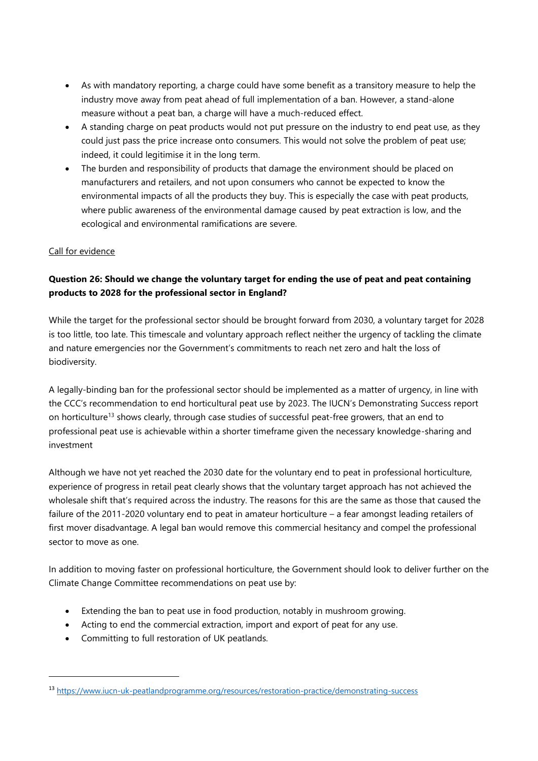- As with mandatory reporting, a charge could have some benefit as a transitory measure to help the industry move away from peat ahead of full implementation of a ban. However, a stand-alone measure without a peat ban, a charge will have a much-reduced effect.
- A standing charge on peat products would not put pressure on the industry to end peat use, as they could just pass the price increase onto consumers. This would not solve the problem of peat use; indeed, it could legitimise it in the long term.
- The burden and responsibility of products that damage the environment should be placed on manufacturers and retailers, and not upon consumers who cannot be expected to know the environmental impacts of all the products they buy. This is especially the case with peat products, where public awareness of the environmental damage caused by peat extraction is low, and the ecological and environmental ramifications are severe.

## Call for evidence

# **Question 26: Should we change the voluntary target for ending the use of peat and peat containing products to 2028 for the professional sector in England?**

While the target for the professional sector should be brought forward from 2030, a voluntary target for 2028 is too little, too late. This timescale and voluntary approach reflect neither the urgency of tackling the climate and nature emergencies nor the Government's commitments to reach net zero and halt the loss of biodiversity.

A legally-binding ban for the professional sector should be implemented as a matter of urgency, in line with the CCC's recommendation to end horticultural peat use by 2023. The IUCN's Demonstrating Success report on horticulture<sup>13</sup> shows clearly, through case studies of successful peat-free growers, that an end to professional peat use is achievable within a shorter timeframe given the necessary knowledge-sharing and investment

Although we have not yet reached the 2030 date for the voluntary end to peat in professional horticulture, experience of progress in retail peat clearly shows that the voluntary target approach has not achieved the wholesale shift that's required across the industry. The reasons for this are the same as those that caused the failure of the 2011-2020 voluntary end to peat in amateur horticulture – a fear amongst leading retailers of first mover disadvantage. A legal ban would remove this commercial hesitancy and compel the professional sector to move as one.

In addition to moving faster on professional horticulture, the Government should look to deliver further on the Climate Change Committee recommendations on peat use by:

- Extending the ban to peat use in food production, notably in mushroom growing.
- Acting to end the commercial extraction, import and export of peat for any use.
- Committing to full restoration of UK peatlands.

<sup>13</sup> <https://www.iucn-uk-peatlandprogramme.org/resources/restoration-practice/demonstrating-success>